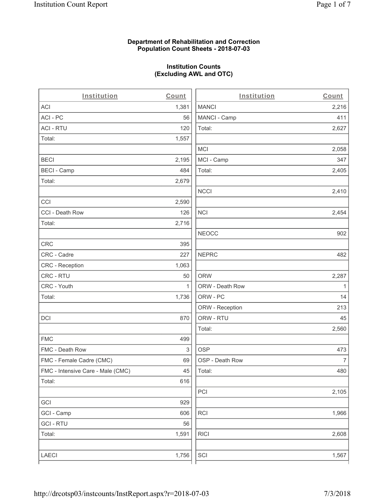### **Department of Rehabilitation and Correction Population Count Sheets - 2018-07-03**

### **Institution Counts (Excluding AWL and OTC)**

| Institution                       | Count        | Institution     | Count        |
|-----------------------------------|--------------|-----------------|--------------|
| ACI                               | 1,381        | <b>MANCI</b>    | 2,216        |
| ACI - PC                          | 56           | MANCI - Camp    | 411          |
| <b>ACI - RTU</b>                  | 120          | Total:          | 2,627        |
| Total:                            | 1,557        |                 |              |
|                                   |              | <b>MCI</b>      | 2,058        |
| <b>BECI</b>                       | 2,195        | MCI - Camp      | 347          |
| <b>BECI - Camp</b>                | 484          | Total:          | 2,405        |
| Total:                            | 2,679        |                 |              |
|                                   |              | <b>NCCI</b>     | 2,410        |
| CCI                               | 2,590        |                 |              |
| CCI - Death Row                   | 126          | <b>NCI</b>      | 2,454        |
| Total:                            | 2,716        |                 |              |
|                                   |              | <b>NEOCC</b>    | 902          |
| CRC                               | 395          |                 |              |
| CRC - Cadre                       | 227          | <b>NEPRC</b>    | 482          |
| CRC - Reception                   | 1,063        |                 |              |
| CRC - RTU                         | 50           | <b>ORW</b>      | 2,287        |
| CRC - Youth                       | $\mathbf{1}$ | ORW - Death Row | $\mathbf{1}$ |
| Total:                            | 1,736        | ORW - PC        | 14           |
|                                   |              | ORW - Reception | 213          |
| DCI                               | 870          | ORW - RTU       | 45           |
|                                   |              | Total:          | 2,560        |
| <b>FMC</b>                        | 499          |                 |              |
| FMC - Death Row                   | 3            | <b>OSP</b>      | 473          |
| FMC - Female Cadre (CMC)          | 69           | OSP - Death Row | 7            |
| FMC - Intensive Care - Male (CMC) | 45           | Total:          | 480          |
| Total:                            | 616          |                 |              |
|                                   |              | PCI             | 2,105        |
| GCI                               | 929          |                 |              |
| GCI - Camp                        | 606          | <b>RCI</b>      | 1,966        |
| <b>GCI - RTU</b>                  | 56           |                 |              |
| Total:                            | 1,591        | <b>RICI</b>     | 2,608        |
|                                   |              |                 |              |
| LAECI                             | 1,756        | SCI             | 1,567        |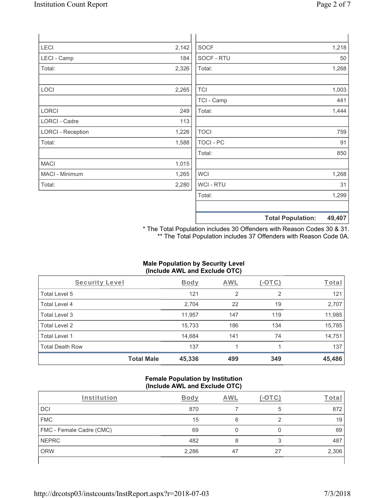| LECI                     | 2,142 | <b>SOCF</b>      |                          | 1,218  |
|--------------------------|-------|------------------|--------------------------|--------|
| LECI - Camp              | 184   | SOCF - RTU       |                          | 50     |
| Total:                   | 2,326 | Total:           |                          | 1,268  |
|                          |       |                  |                          |        |
| LOCI                     | 2,265 | <b>TCI</b>       |                          | 1,003  |
|                          |       | TCI - Camp       |                          | 441    |
| <b>LORCI</b>             | 249   | Total:           |                          | 1,444  |
| LORCI - Cadre            | 113   |                  |                          |        |
| <b>LORCI - Reception</b> | 1,226 | <b>TOCI</b>      |                          | 759    |
| Total:                   | 1,588 | <b>TOCI - PC</b> |                          | 91     |
|                          |       | Total:           |                          | 850    |
| <b>MACI</b>              | 1,015 |                  |                          |        |
| MACI - Minimum           | 1,265 | <b>WCI</b>       |                          | 1,268  |
| Total:                   | 2,280 | WCI - RTU        |                          | 31     |
|                          |       | Total:           |                          | 1,299  |
|                          |       |                  |                          |        |
|                          |       |                  | <b>Total Population:</b> | 49,407 |

\* The Total Population includes 30 Offenders with Reason Codes 30 & 31. \*\* The Total Population includes 37 Offenders with Reason Code 0A.

# **Male Population by Security Level (Include AWL and Exclude OTC)**

| Security Level         |                   | <b>Body</b> | <b>AWL</b> | $(-\text{OTC})$ | Total  |
|------------------------|-------------------|-------------|------------|-----------------|--------|
| Total Level 5          |                   | 121         | 2          | 2               | 121    |
| Total Level 4          |                   | 2,704       | 22         | 19              | 2,707  |
| Total Level 3          |                   | 11,957      | 147        | 119             | 11,985 |
| Total Level 2          |                   | 15,733      | 186        | 134             | 15,785 |
| Total Level 1          |                   | 14,684      | 141        | 74              | 14,751 |
| <b>Total Death Row</b> |                   | 137         |            |                 | 137    |
|                        | <b>Total Male</b> | 45,336      | 499        | 349             | 45,486 |

#### **Female Population by Institution (Include AWL and Exclude OTC)**

| Institution              | Bodv  | AWL |    | Tota  |
|--------------------------|-------|-----|----|-------|
| DCI                      | 870   |     | 5  | 872   |
| <b>FMC</b>               | 15    | 6   |    | 19    |
| FMC - Female Cadre (CMC) | 69    |     |    | 69    |
| <b>NEPRC</b>             | 482   |     | ົ  | 487   |
| <b>ORW</b>               | 2,286 | 47  | 27 | 2,306 |
|                          |       |     |    |       |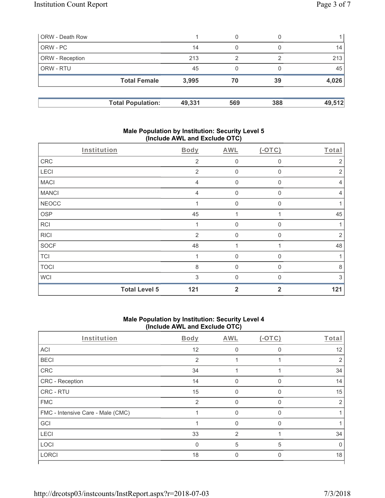| ORW - Death Row        |                          |        | 0   |     |        |
|------------------------|--------------------------|--------|-----|-----|--------|
| ORW - PC               |                          | 14     | 0   |     | 14     |
| <b>ORW</b> - Reception |                          | 213    | ◠   |     | 213    |
| <b>ORW - RTU</b>       |                          | 45     | 0   |     | 45     |
|                        | <b>Total Female</b>      | 3,995  | 70  | 39  | 4,026  |
|                        |                          |        |     |     |        |
|                        | <b>Total Population:</b> | 49,331 | 569 | 388 | 49,512 |

### **Male Population by Institution: Security Level 5 (Include AWL and Exclude OTC)**

|              | Institution          | Body           | <b>AWL</b>       | $(-OTC)$       | Total          |
|--------------|----------------------|----------------|------------------|----------------|----------------|
| ${\sf CRC}$  |                      | $\overline{2}$ | $\mathbf 0$      | 0              | 2              |
| LECI         |                      | 2              | $\mathbf 0$      | $\mathbf 0$    | $\overline{2}$ |
| <b>MACI</b>  |                      | $\overline{4}$ | $\mathbf 0$      | 0              | 4              |
| <b>MANCI</b> |                      | $\overline{4}$ | $\overline{0}$   | $\Omega$       | 4              |
| <b>NEOCC</b> |                      |                | $\boldsymbol{0}$ | 0              | 1              |
| <b>OSP</b>   |                      | 45             | 1                |                | 45             |
| <b>RCI</b>   |                      | $\mathbf{1}$   | $\mathbf 0$      | 0              | 1              |
| <b>RICI</b>  |                      | $\overline{2}$ | $\mathbf 0$      | $\mathbf{0}$   | $\overline{2}$ |
| <b>SOCF</b>  |                      | 48             | 1                |                | 48             |
| <b>TCI</b>   |                      |                | $\overline{0}$   | 0              |                |
| <b>TOCI</b>  |                      | 8              | $\overline{0}$   | $\Omega$       | $\,8\,$        |
| <b>WCI</b>   |                      | 3              | $\overline{0}$   | $\Omega$       | 3              |
|              | <b>Total Level 5</b> | 121            | $\overline{2}$   | $\overline{2}$ | 121            |

### **Male Population by Institution: Security Level 4 (Include AWL and Exclude OTC)**

| Institution                       | Body         | AWL           | $(-OTC)$ | Total        |
|-----------------------------------|--------------|---------------|----------|--------------|
| ACI                               | 12           | 0             | $\Omega$ | 12           |
| <b>BECI</b>                       | 2            |               |          | 2            |
| CRC                               | 34           |               |          | 34           |
| CRC - Reception                   | 14           | $\Omega$      | 0        | 14           |
| CRC - RTU                         | 15           | $\Omega$      | 0        | 15           |
| <b>FMC</b>                        | 2            | $\Omega$      | 0        | 2            |
| FMC - Intensive Care - Male (CMC) |              | $\Omega$      | 0        |              |
| GCI                               |              | 0             | $\Omega$ |              |
| LECI                              | 33           | $\mathcal{P}$ |          | 34           |
| LOCI                              | $\mathbf{0}$ | 5             | 5        | <sup>0</sup> |
| <b>LORCI</b>                      | 18           | 0             | 0        | 18           |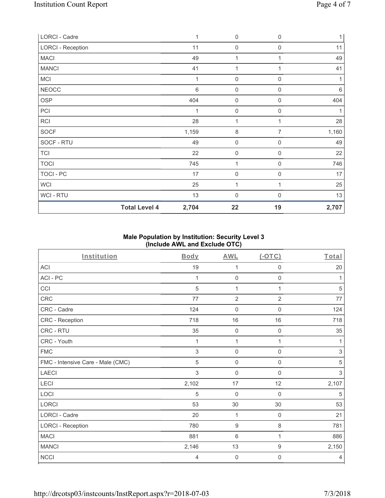| LORCI - Cadre            | $\mathbf{1}$ | $\mathsf{O}\xspace$ | $\mathbf 0$      | $\mathbf{1}$ |
|--------------------------|--------------|---------------------|------------------|--------------|
| <b>LORCI - Reception</b> | 11           | 0                   | $\mathbf 0$      | 11           |
| <b>MACI</b>              | 49           | 1                   | 1                | 49           |
| <b>MANCI</b>             | 41           | $\mathbf{1}$        |                  | 41           |
| MCI                      | $\mathbf{1}$ | 0                   | $\boldsymbol{0}$ |              |
| <b>NEOCC</b>             | $\,6$        | $\boldsymbol{0}$    | 0                | 6            |
| OSP                      | 404          | $\mathsf{O}\xspace$ | 0                | 404          |
| PCI                      | 1            | $\boldsymbol{0}$    | $\mathbf 0$      | 1            |
| <b>RCI</b>               | 28           | 1                   | 1                | 28           |
| SOCF                     | 1,159        | 8                   | $\overline{7}$   | 1,160        |
| SOCF - RTU               | 49           | $\mathbf 0$         | $\mathbf 0$      | 49           |
| <b>TCI</b>               | 22           | $\mathsf{O}\xspace$ | 0                | 22           |
| <b>TOCI</b>              | 745          | $\mathbf{1}$        | $\mathbf 0$      | 746          |
| TOCI - PC                | 17           | 0                   | $\mathbf 0$      | 17           |
| <b>WCI</b>               | 25           | 1                   | 1                | 25           |
| WCI-RTU                  | 13           | $\mathbf 0$         | $\Omega$         | 13           |
| <b>Total Level 4</b>     | 2,704        | 22                  | 19               | 2,707        |

# **Male Population by Institution: Security Level 3 (Include AWL and Exclude OTC)**

| Institution                       | Body  | <b>AWL</b>          | (OTC)               | Total          |
|-----------------------------------|-------|---------------------|---------------------|----------------|
| <b>ACI</b>                        | 19    | 1                   | $\mathbf 0$         | 20             |
| ACI-PC                            | 1     | $\mathsf{O}\xspace$ | $\mathsf{O}\xspace$ | 1              |
| CCI                               | 5     | 1                   | 1                   | 5              |
| CRC                               | 77    | $\overline{2}$      | $\overline{2}$      | $77$           |
| CRC - Cadre                       | 124   | $\mathbf 0$         | $\mathbf 0$         | 124            |
| CRC - Reception                   | 718   | 16                  | 16                  | 718            |
| CRC - RTU                         | 35    | $\mathbf 0$         | $\mathbf 0$         | 35             |
| CRC - Youth                       | 1     | 1                   | 1                   | 1              |
| <b>FMC</b>                        | 3     | $\mathsf{O}\xspace$ | $\mathsf{O}\xspace$ | $\,$ 3 $\,$    |
| FMC - Intensive Care - Male (CMC) | 5     | $\mathsf{O}\xspace$ | $\mathsf{O}\xspace$ | $\sqrt{5}$     |
| <b>LAECI</b>                      | 3     | $\mathbf 0$         | 0                   | $\,$ 3 $\,$    |
| LECI                              | 2,102 | 17                  | 12                  | 2,107          |
| LOCI                              | 5     | $\mathbf 0$         | $\mathbf 0$         | 5              |
| LORCI                             | 53    | 30                  | 30                  | 53             |
| <b>LORCI - Cadre</b>              | 20    | 1                   | $\mathbf 0$         | 21             |
| <b>LORCI - Reception</b>          | 780   | $\boldsymbol{9}$    | $\,8\,$             | 781            |
| <b>MACI</b>                       | 881   | $\,6\,$             | 1                   | 886            |
| <b>MANCI</b>                      | 2,146 | 13                  | $\boldsymbol{9}$    | 2,150          |
| <b>NCCI</b>                       | 4     | $\boldsymbol{0}$    | $\mathbf 0$         | $\overline{4}$ |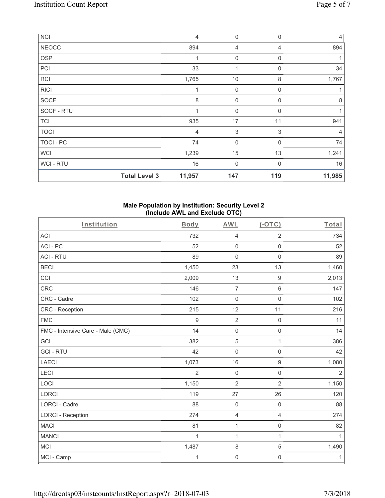| <b>NCI</b>   |                      | $\overline{4}$ | 0           | $\mathbf 0$ | $\vert 4 \vert$ |
|--------------|----------------------|----------------|-------------|-------------|-----------------|
| <b>NEOCC</b> |                      | 894            | 4           | 4           | 894             |
| OSP          |                      | 1              | 0           | $\mathbf 0$ | 1               |
| PCI          |                      | 33             | 1           | $\mathbf 0$ | 34              |
| <b>RCI</b>   |                      | 1,765          | 10          | 8           | 1,767           |
| <b>RICI</b>  |                      | 1              | 0           | $\mathbf 0$ | 1               |
| <b>SOCF</b>  |                      | $\,8\,$        | 0           | 0           | 8               |
| SOCF - RTU   |                      | $\overline{1}$ | $\mathbf 0$ | $\Omega$    |                 |
| <b>TCI</b>   |                      | 935            | 17          | 11          | 941             |
| <b>TOCI</b>  |                      | 4              | 3           | 3           | $\overline{4}$  |
| TOCI - PC    |                      | 74             | $\mathbf 0$ | $\Omega$    | 74              |
| <b>WCI</b>   |                      | 1,239          | 15          | 13          | 1,241           |
| WCI - RTU    |                      | 16             | $\mathbf 0$ | $\Omega$    | 16              |
|              | <b>Total Level 3</b> | 11,957         | 147         | 119         | 11,985          |

## **Male Population by Institution: Security Level 2 (Include AWL and Exclude OTC)**

| Institution                       | Body           | <b>AWL</b>          | $(-OTC)$            | Total      |
|-----------------------------------|----------------|---------------------|---------------------|------------|
| <b>ACI</b>                        | 732            | $\overline{4}$      | $\overline{2}$      | 734        |
| ACI-PC                            | 52             | $\mathbf 0$         | $\mathbf 0$         | 52         |
| <b>ACI - RTU</b>                  | 89             | $\mathbf 0$         | $\mathbf 0$         | 89         |
| <b>BECI</b>                       | 1,450          | 23                  | 13                  | 1,460      |
| CCI                               | 2,009          | 13                  | $\boldsymbol{9}$    | 2,013      |
| <b>CRC</b>                        | 146            | $\overline{7}$      | $\,6\,$             | 147        |
| CRC - Cadre                       | 102            | $\mathbf 0$         | $\mathbf 0$         | 102        |
| CRC - Reception                   | 215            | 12                  | 11                  | 216        |
| <b>FMC</b>                        | 9              | $\sqrt{2}$          | $\mathsf{O}\xspace$ | 11         |
| FMC - Intensive Care - Male (CMC) | 14             | $\mathbf 0$         | $\mathbf 0$         | 14         |
| GCI                               | 382            | $\sqrt{5}$          | $\mathbf{1}$        | 386        |
| <b>GCI-RTU</b>                    | 42             | $\mathbf 0$         | $\mathbf 0$         | 42         |
| <b>LAECI</b>                      | 1,073          | 16                  | $\boldsymbol{9}$    | 1,080      |
| LECI                              | $\overline{2}$ | $\mathbf 0$         | $\mathbf 0$         | $\sqrt{2}$ |
| LOCI                              | 1,150          | $\overline{2}$      | $\overline{2}$      | 1,150      |
| <b>LORCI</b>                      | 119            | 27                  | 26                  | 120        |
| LORCI - Cadre                     | 88             | $\mathsf{O}\xspace$ | $\mathbf 0$         | 88         |
| <b>LORCI - Reception</b>          | 274            | $\overline{4}$      | $\overline{4}$      | 274        |
| <b>MACI</b>                       | 81             | 1                   | $\mathsf 0$         | 82         |
| <b>MANCI</b>                      | $\mathbf{1}$   | 1                   | $\mathbf{1}$        | 1          |
| <b>MCI</b>                        | 1,487          | $\,8\,$             | $\,$ 5 $\,$         | 1,490      |
| MCI - Camp                        | 1              | $\mathsf{O}\xspace$ | $\mathsf{O}\xspace$ | 1          |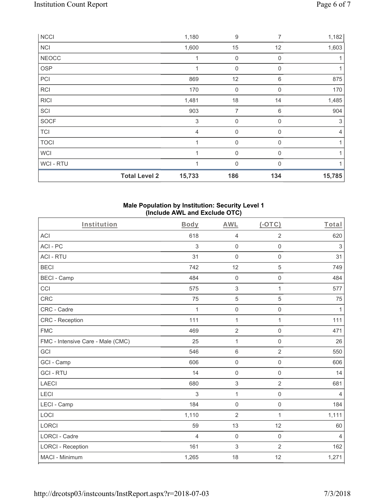| NCCI         |                      | 1,180                     | 9                | 7           | 1,182  |
|--------------|----------------------|---------------------------|------------------|-------------|--------|
| <b>NCI</b>   |                      | 1,600                     | 15               | 12          | 1,603  |
| <b>NEOCC</b> |                      | 1                         | $\boldsymbol{0}$ | $\mathbf 0$ |        |
| <b>OSP</b>   |                      |                           | 0                | 0           |        |
| PCI          |                      | 869                       | 12               | 6           | 875    |
| RCI          |                      | 170                       | 0                | 0           | 170    |
| <b>RICI</b>  |                      | 1,481                     | 18               | 14          | 1,485  |
| SCI          |                      | 903                       | 7                | 6           | 904    |
| SOCF         |                      | $\ensuremath{\mathsf{3}}$ | $\mathbf 0$      | 0           | 3      |
| <b>TCI</b>   |                      | $\overline{4}$            | $\mathbf 0$      | $\Omega$    | 4      |
| <b>TOCI</b>  |                      | 1                         | $\overline{0}$   | $\Omega$    |        |
| <b>WCI</b>   |                      |                           | $\mathbf 0$      | $\Omega$    |        |
| WCI - RTU    |                      | 1                         | $\mathbf 0$      | $\Omega$    |        |
|              | <b>Total Level 2</b> | 15,733                    | 186              | 134         | 15,785 |

## **Male Population by Institution: Security Level 1 (Include AWL and Exclude OTC)**

| Institution                       | Body           | AWL                 | $($ -OTC $)$        | Total          |
|-----------------------------------|----------------|---------------------|---------------------|----------------|
| <b>ACI</b>                        | 618            | $\overline{4}$      | $\overline{2}$      | 620            |
| ACI - PC                          | 3              | $\mathbf 0$         | $\mathsf 0$         | $\sqrt{3}$     |
| <b>ACI - RTU</b>                  | 31             | $\mathsf 0$         | $\mathsf{O}\xspace$ | 31             |
| <b>BECI</b>                       | 742            | 12                  | 5                   | 749            |
| <b>BECI - Camp</b>                | 484            | $\mathsf{O}\xspace$ | $\mathsf 0$         | 484            |
| CCI                               | 575            | $\,$ 3 $\,$         | 1                   | 577            |
| CRC                               | 75             | 5                   | 5                   | 75             |
| CRC - Cadre                       | 1              | $\mathsf{O}\xspace$ | $\mathsf{O}\xspace$ | 1              |
| <b>CRC</b> - Reception            | 111            | 1                   | 1                   | 111            |
| <b>FMC</b>                        | 469            | $\overline{2}$      | 0                   | 471            |
| FMC - Intensive Care - Male (CMC) | 25             | 1                   | $\mathsf{O}\xspace$ | 26             |
| GCI                               | 546            | $\,6\,$             | $\overline{2}$      | 550            |
| GCI - Camp                        | 606            | $\mathbf 0$         | $\mathbf 0$         | 606            |
| <b>GCI-RTU</b>                    | 14             | $\mathsf 0$         | 0                   | 14             |
| <b>LAECI</b>                      | 680            | $\,$ 3 $\,$         | $\overline{2}$      | 681            |
| LECI                              | 3              | $\mathbf{1}$        | $\mathsf{O}\xspace$ | $\overline{4}$ |
| LECI - Camp                       | 184            | $\mathsf{O}\xspace$ | $\mathsf 0$         | 184            |
| LOCI                              | 1,110          | $\overline{2}$      | 1                   | 1,111          |
| <b>LORCI</b>                      | 59             | 13                  | 12                  | 60             |
| <b>LORCI - Cadre</b>              | $\overline{4}$ | $\mathbf 0$         | $\mathbf 0$         | $\overline{4}$ |
| <b>LORCI - Reception</b>          | 161            | $\,$ 3 $\,$         | $\overline{2}$      | 162            |
| MACI - Minimum                    | 1,265          | 18                  | 12                  | 1,271          |